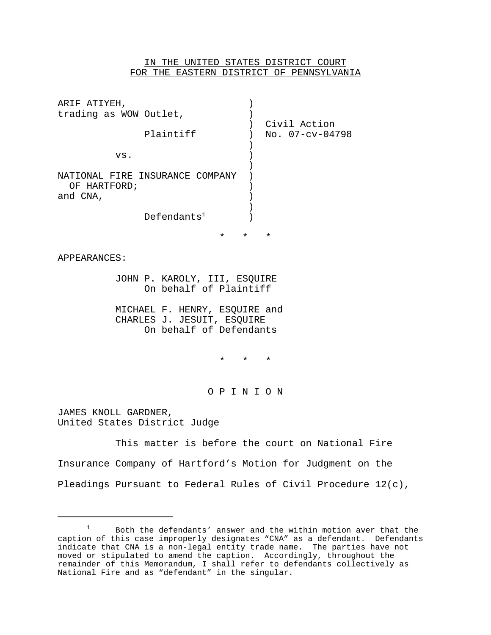## IN THE UNITED STATES DISTRICT COURT FOR THE EASTERN DISTRICT OF PENNSYLVANIA

| ARIF ATIYEH,                                                                           |                     |                         |                                                  |
|----------------------------------------------------------------------------------------|---------------------|-------------------------|--------------------------------------------------|
| trading as WOW Outlet,                                                                 |                     |                         |                                                  |
| Plaintiff                                                                              |                     |                         | Civil Action<br>No. 07-cv-04798                  |
| VS.                                                                                    |                     |                         |                                                  |
|                                                                                        |                     |                         |                                                  |
| NATIONAL FIRE INSURANCE COMPANY<br>OF HARTFORD;<br>and CNA,                            |                     |                         |                                                  |
|                                                                                        |                     |                         |                                                  |
| Defends <sup>1</sup>                                                                   |                     |                         |                                                  |
|                                                                                        | $\star$ and $\star$ | $\star$                 | $\star$                                          |
| APPEARANCES:                                                                           |                     |                         |                                                  |
| JOHN P. KAROLY, III, ESQUIRE<br>On behalf of Plaintiff                                 |                     |                         |                                                  |
| MICHAEL F. HENRY, ESQUIRE and<br>CHARLES J. JESUIT, ESQUIRE<br>On behalf of Defendants |                     |                         |                                                  |
|                                                                                        |                     | $\star$ $\star$ $\star$ |                                                  |
|                                                                                        |                     | <u>O P I N I O N</u>    |                                                  |
| JAMES KNOLL GARDNER,<br>United States District Judge                                   |                     |                         |                                                  |
|                                                                                        |                     |                         | This matter is before the court on National Fire |
| Insurance Company of Hartford's Motion for Judgment on the                             |                     |                         |                                                  |

Pleadings Pursuant to Federal Rules of Civil Procedure 12(c),

<sup>1</sup> Both the defendants' answer and the within motion aver that the caption of this case improperly designates "CNA" as a defendant. Defendants indicate that CNA is a non-legal entity trade name. The parties have not moved or stipulated to amend the caption. Accordingly, throughout the remainder of this Memorandum, I shall refer to defendants collectively as National Fire and as "defendant" in the singular.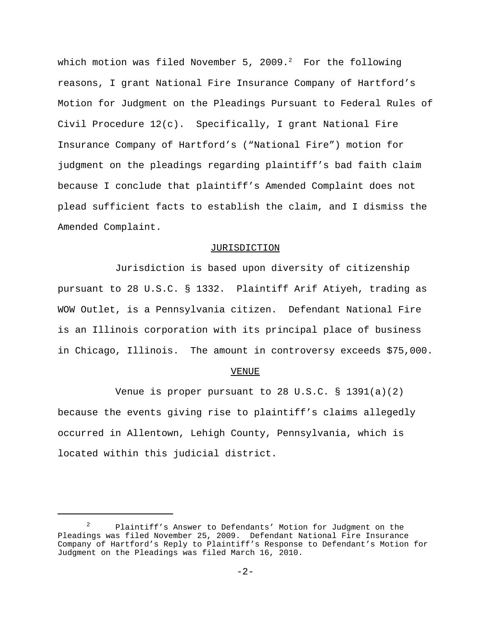which motion was filed November 5, 2009. $^2$  For the following reasons, I grant National Fire Insurance Company of Hartford's Motion for Judgment on the Pleadings Pursuant to Federal Rules of Civil Procedure 12(c). Specifically, I grant National Fire Insurance Company of Hartford's ("National Fire") motion for judgment on the pleadings regarding plaintiff's bad faith claim because I conclude that plaintiff's Amended Complaint does not plead sufficient facts to establish the claim, and I dismiss the Amended Complaint.

## JURISDICTION

Jurisdiction is based upon diversity of citizenship pursuant to 28 U.S.C. § 1332. Plaintiff Arif Atiyeh, trading as WOW Outlet, is a Pennsylvania citizen. Defendant National Fire is an Illinois corporation with its principal place of business in Chicago, Illinois. The amount in controversy exceeds \$75,000.

## VENUE

Venue is proper pursuant to 28 U.S.C. § 1391(a)(2) because the events giving rise to plaintiff's claims allegedly occurred in Allentown, Lehigh County, Pennsylvania, which is located within this judicial district.

<sup>2</sup> Plaintiff's Answer to Defendants' Motion for Judgment on the Pleadings was filed November 25, 2009. Defendant National Fire Insurance Company of Hartford's Reply to Plaintiff's Response to Defendant's Motion for Judgment on the Pleadings was filed March 16, 2010.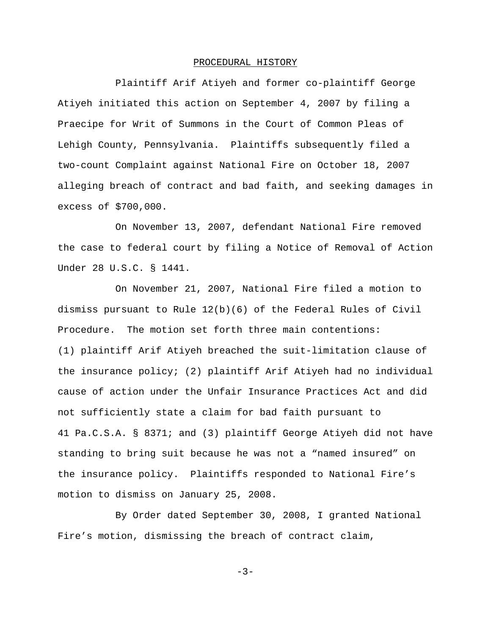## PROCEDURAL HISTORY

Plaintiff Arif Atiyeh and former co-plaintiff George Atiyeh initiated this action on September 4, 2007 by filing a Praecipe for Writ of Summons in the Court of Common Pleas of Lehigh County, Pennsylvania. Plaintiffs subsequently filed a two-count Complaint against National Fire on October 18, 2007 alleging breach of contract and bad faith, and seeking damages in excess of \$700,000.

On November 13, 2007, defendant National Fire removed the case to federal court by filing a Notice of Removal of Action Under 28 U.S.C. § 1441.

On November 21, 2007, National Fire filed a motion to dismiss pursuant to Rule 12(b)(6) of the Federal Rules of Civil Procedure. The motion set forth three main contentions: (1) plaintiff Arif Atiyeh breached the suit-limitation clause of the insurance policy; (2) plaintiff Arif Atiyeh had no individual cause of action under the Unfair Insurance Practices Act and did not sufficiently state a claim for bad faith pursuant to 41 Pa.C.S.A. § 8371; and (3) plaintiff George Atiyeh did not have standing to bring suit because he was not a "named insured" on the insurance policy. Plaintiffs responded to National Fire's motion to dismiss on January 25, 2008.

By Order dated September 30, 2008, I granted National Fire's motion, dismissing the breach of contract claim,

 $-3-$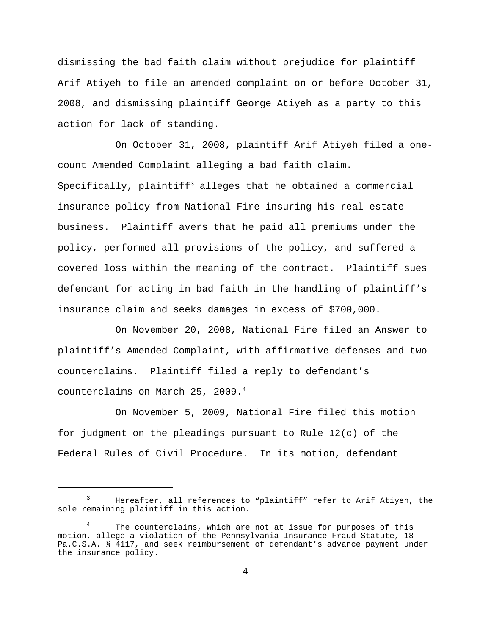dismissing the bad faith claim without prejudice for plaintiff Arif Atiyeh to file an amended complaint on or before October 31, 2008, and dismissing plaintiff George Atiyeh as a party to this action for lack of standing.

On October 31, 2008, plaintiff Arif Atiyeh filed a onecount Amended Complaint alleging a bad faith claim. Specifically, plaintiff<sup>3</sup> alleges that he obtained a commercial insurance policy from National Fire insuring his real estate business. Plaintiff avers that he paid all premiums under the policy, performed all provisions of the policy, and suffered a covered loss within the meaning of the contract. Plaintiff sues defendant for acting in bad faith in the handling of plaintiff's insurance claim and seeks damages in excess of \$700,000.

On November 20, 2008, National Fire filed an Answer to plaintiff's Amended Complaint, with affirmative defenses and two counterclaims. Plaintiff filed a reply to defendant's counterclaims on March 25, 2009.4

On November 5, 2009, National Fire filed this motion for judgment on the pleadings pursuant to Rule 12(c) of the Federal Rules of Civil Procedure. In its motion, defendant

<sup>&</sup>lt;sup>3</sup> Hereafter, all references to "plaintiff" refer to Arif Atiyeh, the sole remaining plaintiff in this action.

The counterclaims, which are not at issue for purposes of this motion, allege a violation of the Pennsylvania Insurance Fraud Statute, 18 Pa.C.S.A. § 4117, and seek reimbursement of defendant's advance payment under the insurance policy.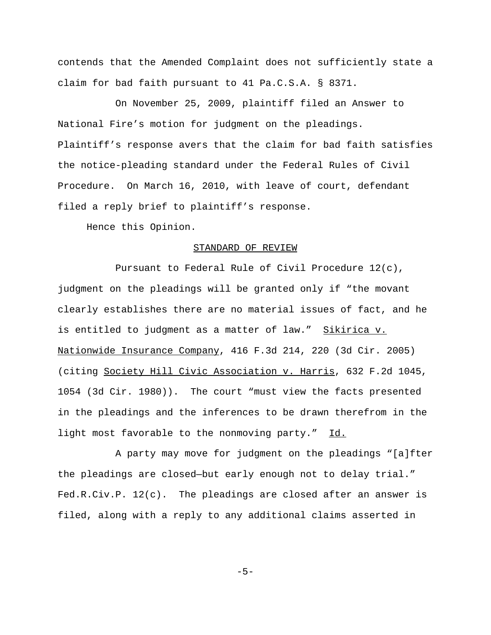contends that the Amended Complaint does not sufficiently state a claim for bad faith pursuant to 41 Pa.C.S.A. § 8371.

On November 25, 2009, plaintiff filed an Answer to National Fire's motion for judgment on the pleadings. Plaintiff's response avers that the claim for bad faith satisfies the notice-pleading standard under the Federal Rules of Civil Procedure. On March 16, 2010, with leave of court, defendant filed a reply brief to plaintiff's response.

Hence this Opinion.

## STANDARD OF REVIEW

Pursuant to Federal Rule of Civil Procedure 12(c), judgment on the pleadings will be granted only if "the movant clearly establishes there are no material issues of fact, and he is entitled to judgment as a matter of law." Sikirica v. Nationwide Insurance Company, 416 F.3d 214, 220 (3d Cir. 2005) (citing Society Hill Civic Association v. Harris, 632 F.2d 1045, 1054 (3d Cir. 1980)). The court "must view the facts presented in the pleadings and the inferences to be drawn therefrom in the light most favorable to the nonmoving party." Id.

A party may move for judgment on the pleadings "[a]fter the pleadings are closed—but early enough not to delay trial." Fed.R.Civ.P. 12(c). The pleadings are closed after an answer is filed, along with a reply to any additional claims asserted in

-5-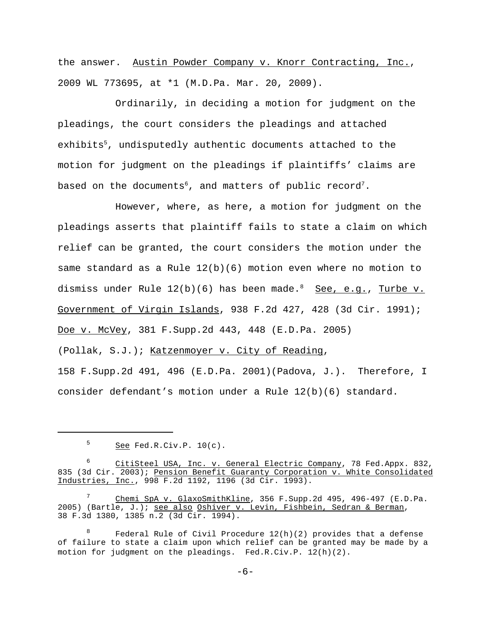the answer. Austin Powder Company v. Knorr Contracting, Inc., 2009 WL 773695, at \*1 (M.D.Pa. Mar. 20, 2009).

Ordinarily, in deciding a motion for judgment on the pleadings, the court considers the pleadings and attached exhibits<sup>5</sup>, undisputedly authentic documents attached to the motion for judgment on the pleadings if plaintiffs' claims are based on the documents<sup>6</sup>, and matters of public record<sup>7</sup>.

However, where, as here, a motion for judgment on the pleadings asserts that plaintiff fails to state a claim on which relief can be granted, the court considers the motion under the same standard as a Rule  $12(b)(6)$  motion even where no motion to dismiss under Rule  $12(b)(6)$  has been made.<sup>8</sup> See, e.g., Turbe v. Government of Virgin Islands, 938 F.2d 427, 428 (3d Cir. 1991); Doe v. McVey, 381 F.Supp.2d 443, 448 (E.D.Pa. 2005)

(Pollak, S.J.); Katzenmoyer v. City of Reading,

158 F.Supp.2d 491, 496 (E.D.Pa. 2001)(Padova, J.). Therefore, I consider defendant's motion under a Rule 12(b)(6) standard.

 $5$  See Fed.R.Civ.P.  $10(c)$ .

<sup>6</sup> CitiSteel USA, Inc. v. General Electric Company, 78 Fed.Appx. 832, 835 (3d Cir. 2003); Pension Benefit Guaranty Corporation v. White Consolidated Industries, Inc., 998 F.2d 1192, 1196 (3d Cir. 1993).

<sup>7</sup> Chemi SpA v. GlaxoSmithKline, 356 F.Supp.2d 495, 496-497 (E.D.Pa. 2005) (Bartle, J.); see also Oshiver v. Levin, Fishbein, Sedran & Berman, 38 F.3d 1380, 1385 n.2 (3d Cir. 1994).

Federal Rule of Civil Procedure  $12(h)(2)$  provides that a defense of failure to state a claim upon which relief can be granted may be made by a motion for judgment on the pleadings. Fed.R.Civ.P. 12(h)(2).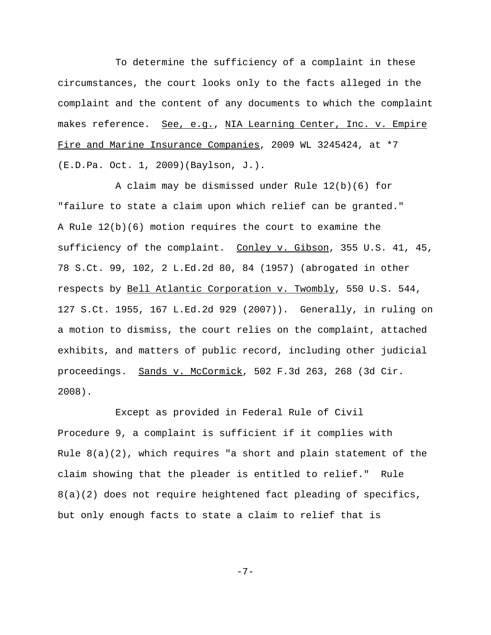To determine the sufficiency of a complaint in these circumstances, the court looks only to the facts alleged in the complaint and the content of any documents to which the complaint makes reference. See, e.g., NIA Learning Center, Inc. v. Empire Fire and Marine Insurance Companies, 2009 WL 3245424, at \*7 (E.D.Pa. Oct. 1, 2009)(Baylson, J.).

A claim may be dismissed under Rule 12(b)(6) for "failure to state a claim upon which relief can be granted." A Rule 12(b)(6) motion requires the court to examine the sufficiency of the complaint. Conley v. Gibson, 355 U.S. 41, 45, 78 S.Ct. 99, 102, 2 L.Ed.2d 80, 84 (1957) (abrogated in other respects by Bell Atlantic Corporation v. Twombly, 550 U.S. 544, 127 S.Ct. 1955, 167 L.Ed.2d 929 (2007)). Generally, in ruling on a motion to dismiss, the court relies on the complaint, attached exhibits, and matters of public record, including other judicial proceedings. Sands v. McCormick, 502 F.3d 263, 268 (3d Cir. 2008).

Except as provided in Federal Rule of Civil Procedure 9, a complaint is sufficient if it complies with Rule 8(a)(2), which requires "a short and plain statement of the claim showing that the pleader is entitled to relief." Rule  $8(a)(2)$  does not require heightened fact pleading of specifics, but only enough facts to state a claim to relief that is

-7-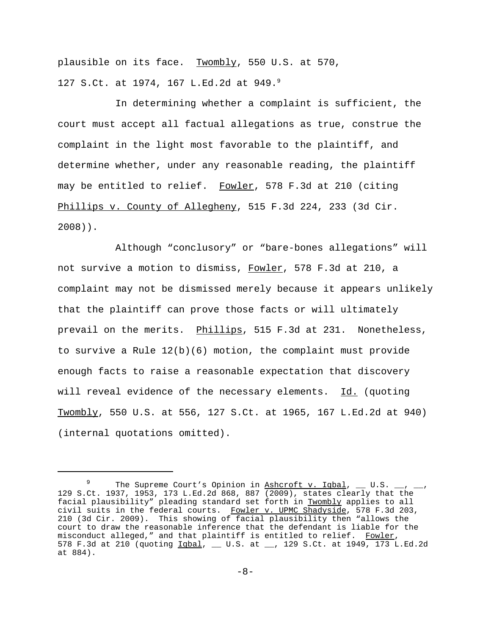plausible on its face. Twombly, 550 U.S. at 570, 127 S.Ct. at 1974, 167 L.Ed.2d at 949.9

In determining whether a complaint is sufficient, the court must accept all factual allegations as true, construe the complaint in the light most favorable to the plaintiff, and determine whether, under any reasonable reading, the plaintiff may be entitled to relief. Fowler, 578 F.3d at 210 (citing Phillips v. County of Allegheny, 515 F.3d 224, 233 (3d Cir. 2008)).

Although "conclusory" or "bare-bones allegations" will not survive a motion to dismiss, Fowler, 578 F.3d at 210, a complaint may not be dismissed merely because it appears unlikely that the plaintiff can prove those facts or will ultimately prevail on the merits. Phillips, 515 F.3d at 231. Nonetheless, to survive a Rule 12(b)(6) motion, the complaint must provide enough facts to raise a reasonable expectation that discovery will reveal evidence of the necessary elements. Id. (quoting Twombly, 550 U.S. at 556, 127 S.Ct. at 1965, 167 L.Ed.2d at 940) (internal quotations omitted).

<sup>&</sup>lt;sup>9</sup> The Supreme Court's Opinion in  $\underline{\text{Ashcroft}}$  v. Iqbal, \_\_ U.S. \_ 129 S.Ct. 1937, 1953, 173 L.Ed.2d 868, 887 (2009), states clearly that the facial plausibility" pleading standard set forth in Twombly applies to all civil suits in the federal courts. Fowler v. UPMC Shadyside, 578 F.3d 203, 210 (3d Cir. 2009). This showing of facial plausibility then "allows the court to draw the reasonable inference that the defendant is liable for the misconduct alleged," and that plaintiff is entitled to relief. Fowler, 578 F.3d at 210 (quoting  $Iqbal$ , \_\_ U.S. at \_\_, 129 S.Ct. at 1949, 173 L.Ed.2d at 884).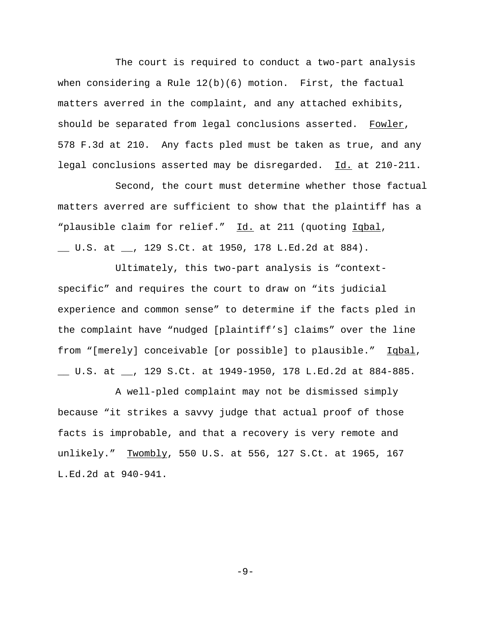The court is required to conduct a two-part analysis when considering a Rule 12(b)(6) motion. First, the factual matters averred in the complaint, and any attached exhibits, should be separated from legal conclusions asserted. Fowler, 578 F.3d at 210. Any facts pled must be taken as true, and any legal conclusions asserted may be disregarded. Id. at 210-211.

Second, the court must determine whether those factual matters averred are sufficient to show that the plaintiff has a "plausible claim for relief." Id. at 211 (quoting Iqbal,

\_\_ U.S. at \_\_, 129 S.Ct. at 1950, 178 L.Ed.2d at 884).

Ultimately, this two-part analysis is "contextspecific" and requires the court to draw on "its judicial experience and common sense" to determine if the facts pled in the complaint have "nudged [plaintiff's] claims" over the line from "[merely] conceivable [or possible] to plausible." Iqbal, \_\_ U.S. at \_\_, 129 S.Ct. at 1949-1950, 178 L.Ed.2d at 884-885.

A well-pled complaint may not be dismissed simply because "it strikes a savvy judge that actual proof of those facts is improbable, and that a recovery is very remote and unlikely." Twombly, 550 U.S. at 556, 127 S.Ct. at 1965, 167 L.Ed.2d at 940-941.

 $-9-$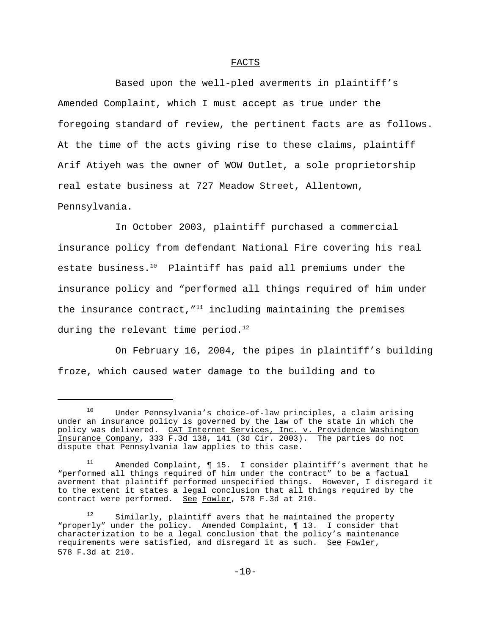## FACTS

Based upon the well-pled averments in plaintiff's Amended Complaint, which I must accept as true under the foregoing standard of review, the pertinent facts are as follows. At the time of the acts giving rise to these claims, plaintiff Arif Atiyeh was the owner of WOW Outlet, a sole proprietorship real estate business at 727 Meadow Street, Allentown, Pennsylvania.

In October 2003, plaintiff purchased a commercial insurance policy from defendant National Fire covering his real estate business. $10$  Plaintiff has paid all premiums under the insurance policy and "performed all things required of him under the insurance contract,  $I^1$  including maintaining the premises during the relevant time period. $^{12}$ 

On February 16, 2004, the pipes in plaintiff's building froze, which caused water damage to the building and to

<sup>10</sup> Under Pennsylvania's choice-of-law principles, a claim arising under an insurance policy is governed by the law of the state in which the policy was delivered. CAT Internet Services, Inc. v. Providence Washington Insurance Company, 333 F.3d 138, 141 (3d Cir. 2003). The parties do not dispute that Pennsylvania law applies to this case.

 $11$  Amended Complaint,  $\P$  15. I consider plaintiff's averment that he "performed all things required of him under the contract" to be a factual averment that plaintiff performed unspecified things. However, I disregard it to the extent it states a legal conclusion that all things required by the contract were performed. See Fowler, 578 F.3d at 210.

<sup>&</sup>lt;sup>12</sup> Similarly, plaintiff avers that he maintained the property "properly" under the policy. Amended Complaint, ¶ 13. I consider that characterization to be a legal conclusion that the policy's maintenance requirements were satisfied, and disregard it as such. See Fowler, 578 F.3d at 210.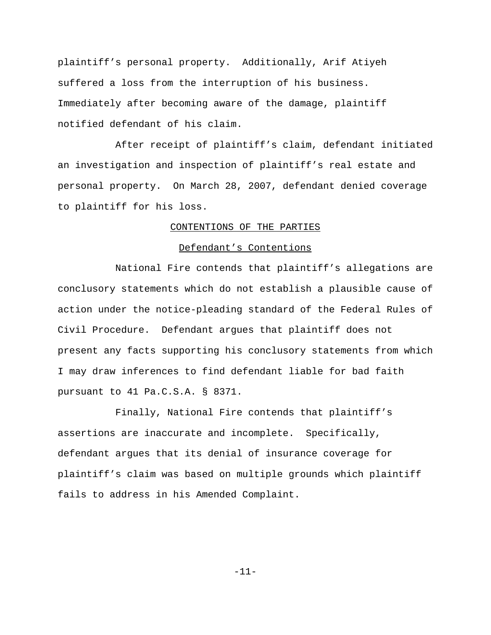plaintiff's personal property. Additionally, Arif Atiyeh suffered a loss from the interruption of his business. Immediately after becoming aware of the damage, plaintiff notified defendant of his claim.

After receipt of plaintiff's claim, defendant initiated an investigation and inspection of plaintiff's real estate and personal property. On March 28, 2007, defendant denied coverage to plaintiff for his loss.

#### CONTENTIONS OF THE PARTIES

## Defendant's Contentions

National Fire contends that plaintiff's allegations are conclusory statements which do not establish a plausible cause of action under the notice-pleading standard of the Federal Rules of Civil Procedure. Defendant argues that plaintiff does not present any facts supporting his conclusory statements from which I may draw inferences to find defendant liable for bad faith pursuant to 41 Pa.C.S.A. § 8371.

Finally, National Fire contends that plaintiff's assertions are inaccurate and incomplete. Specifically, defendant argues that its denial of insurance coverage for plaintiff's claim was based on multiple grounds which plaintiff fails to address in his Amended Complaint.

-11-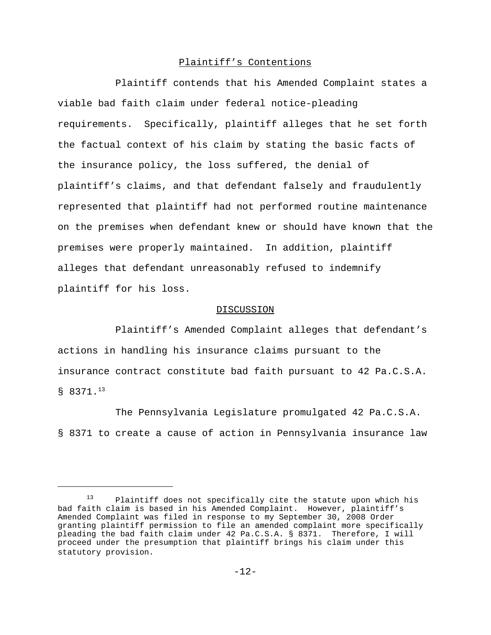# Plaintiff's Contentions

Plaintiff contends that his Amended Complaint states a viable bad faith claim under federal notice-pleading requirements. Specifically, plaintiff alleges that he set forth the factual context of his claim by stating the basic facts of the insurance policy, the loss suffered, the denial of plaintiff's claims, and that defendant falsely and fraudulently represented that plaintiff had not performed routine maintenance on the premises when defendant knew or should have known that the premises were properly maintained. In addition, plaintiff alleges that defendant unreasonably refused to indemnify plaintiff for his loss.

## DISCUSSION

Plaintiff's Amended Complaint alleges that defendant's actions in handling his insurance claims pursuant to the insurance contract constitute bad faith pursuant to 42 Pa.C.S.A.  $$8371.<sup>13</sup>$ 

The Pennsylvania Legislature promulgated 42 Pa.C.S.A. § 8371 to create a cause of action in Pennsylvania insurance law

Plaintiff does not specifically cite the statute upon which his bad faith claim is based in his Amended Complaint. However, plaintiff's Amended Complaint was filed in response to my September 30, 2008 Order granting plaintiff permission to file an amended complaint more specifically pleading the bad faith claim under 42 Pa.C.S.A. § 8371. Therefore, I will proceed under the presumption that plaintiff brings his claim under this statutory provision.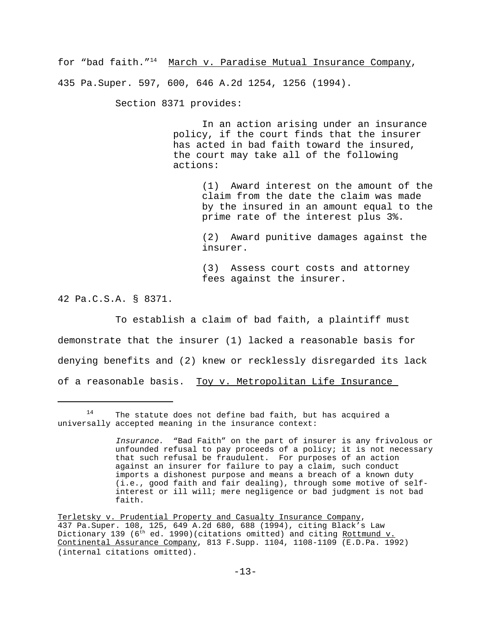for "bad faith."<sup>14</sup> March v. Paradise Mutual Insurance Company, 435 Pa.Super. 597, 600, 646 A.2d 1254, 1256 (1994).

Section 8371 provides:

In an action arising under an insurance policy, if the court finds that the insurer has acted in bad faith toward the insured, the court may take all of the following actions:

> (1) Award interest on the amount of the claim from the date the claim was made by the insured in an amount equal to the prime rate of the interest plus 3%.

(2) Award punitive damages against the insurer.

(3) Assess court costs and attorney fees against the insurer.

42 Pa.C.S.A. § 8371.

To establish a claim of bad faith, a plaintiff must demonstrate that the insurer (1) lacked a reasonable basis for denying benefits and (2) knew or recklessly disregarded its lack of a reasonable basis. Toy v. Metropolitan Life Insurance

 $14$  The statute does not define bad faith, but has acquired a universally accepted meaning in the insurance context:

Insurance. "Bad Faith" on the part of insurer is any frivolous or unfounded refusal to pay proceeds of a policy; it is not necessary that such refusal be fraudulent. For purposes of an action against an insurer for failure to pay a claim, such conduct imports a dishonest purpose and means a breach of a known duty (i.e., good faith and fair dealing), through some motive of selfinterest or ill will; mere negligence or bad judgment is not bad faith.

Terletsky v. Prudential Property and Casualty Insurance Company, 437 Pa.Super. 108, 125, 649 A.2d 680, 688 (1994), citing Black's Law Dictionary 139 (6<sup>th</sup> ed. 1990)(citations omitted) and citing <u>Rottmund v.</u> Continental Assurance Company, 813 F.Supp. 1104, 1108-1109 (E.D.Pa. 1992) (internal citations omitted).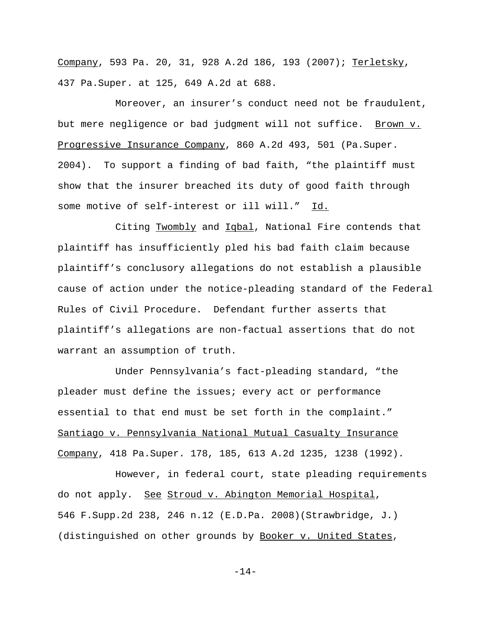Company, 593 Pa. 20, 31, 928 A.2d 186, 193 (2007); Terletsky, 437 Pa.Super. at 125, 649 A.2d at 688.

Moreover, an insurer's conduct need not be fraudulent, but mere negligence or bad judgment will not suffice. Brown v. Progressive Insurance Company, 860 A.2d 493, 501 (Pa.Super. 2004). To support a finding of bad faith, "the plaintiff must show that the insurer breached its duty of good faith through some motive of self-interest or ill will." Id.

Citing Twombly and Iqbal, National Fire contends that plaintiff has insufficiently pled his bad faith claim because plaintiff's conclusory allegations do not establish a plausible cause of action under the notice-pleading standard of the Federal Rules of Civil Procedure. Defendant further asserts that plaintiff's allegations are non-factual assertions that do not warrant an assumption of truth.

Under Pennsylvania's fact-pleading standard, "the pleader must define the issues; every act or performance essential to that end must be set forth in the complaint." Santiago v. Pennsylvania National Mutual Casualty Insurance Company, 418 Pa.Super. 178, 185, 613 A.2d 1235, 1238 (1992).

However, in federal court, state pleading requirements do not apply. See Stroud v. Abington Memorial Hospital, 546 F.Supp.2d 238, 246 n.12 (E.D.Pa. 2008)(Strawbridge, J.) (distinguished on other grounds by Booker v. United States,

-14-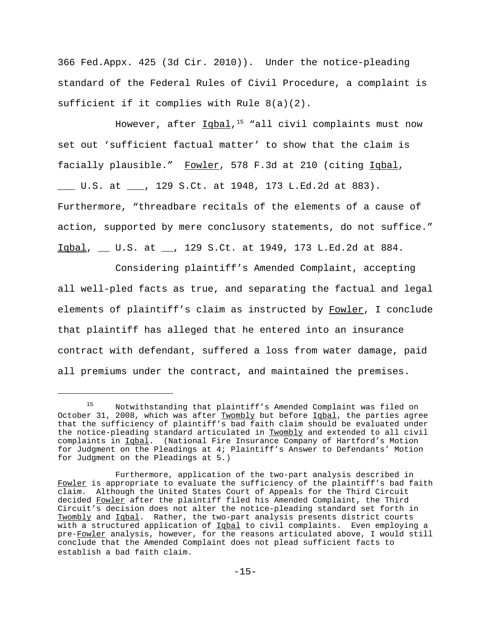366 Fed.Appx. 425 (3d Cir. 2010)). Under the notice-pleading standard of the Federal Rules of Civil Procedure, a complaint is sufficient if it complies with Rule 8(a)(2).

However, after  $Iqbal$ ,<sup>15</sup> "all civil complaints must now set out 'sufficient factual matter' to show that the claim is facially plausible." Fowler, 578 F.3d at 210 (citing Igbal, U.S. at , 129 S.Ct. at 1948, 173 L.Ed.2d at 883). Furthermore, "threadbare recitals of the elements of a cause of action, supported by mere conclusory statements, do not suffice." Iqbal, \_\_ U.S. at \_\_, 129 S.Ct. at 1949, 173 L.Ed.2d at 884.

Considering plaintiff's Amended Complaint, accepting all well-pled facts as true, and separating the factual and legal elements of plaintiff's claim as instructed by Fowler, I conclude that plaintiff has alleged that he entered into an insurance contract with defendant, suffered a loss from water damage, paid all premiums under the contract, and maintained the premises.

<sup>15</sup> Notwithstanding that plaintiff's Amended Complaint was filed on October 31, 2008, which was after Twombly but before Iqbal, the parties agree that the sufficiency of plaintiff's bad faith claim should be evaluated under the notice-pleading standard articulated in Twombly and extended to all civil complaints in Iqbal. (National Fire Insurance Company of Hartford's Motion for Judgment on the Pleadings at 4; Plaintiff's Answer to Defendants' Motion for Judgment on the Pleadings at 5.)

Furthermore, application of the two-part analysis described in Fowler is appropriate to evaluate the sufficiency of the plaintiff's bad faith claim. Although the United States Court of Appeals for the Third Circuit decided Fowler after the plaintiff filed his Amended Complaint, the Third Circuit's decision does not alter the notice-pleading standard set forth in Twombly and Iqbal. Rather, the two-part analysis presents district courts with a structured application of Iqbal to civil complaints. Even employing a pre-Fowler analysis, however, for the reasons articulated above, I would still conclude that the Amended Complaint does not plead sufficient facts to establish a bad faith claim.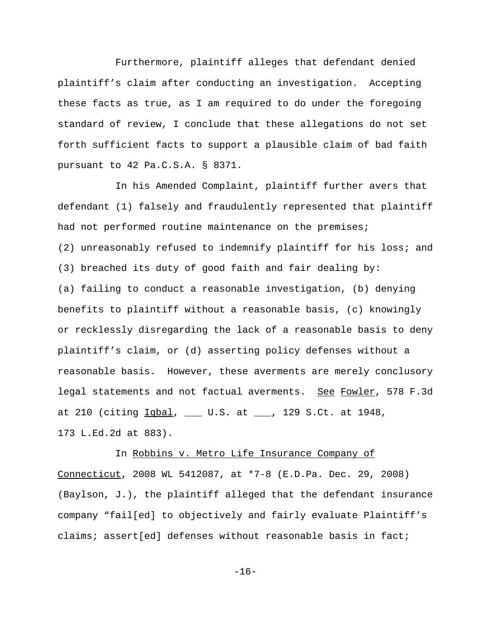Furthermore, plaintiff alleges that defendant denied plaintiff's claim after conducting an investigation. Accepting these facts as true, as I am required to do under the foregoing standard of review, I conclude that these allegations do not set forth sufficient facts to support a plausible claim of bad faith pursuant to 42 Pa.C.S.A. § 8371.

In his Amended Complaint, plaintiff further avers that defendant (1) falsely and fraudulently represented that plaintiff had not performed routine maintenance on the premises; (2) unreasonably refused to indemnify plaintiff for his loss; and (3) breached its duty of good faith and fair dealing by: (a) failing to conduct a reasonable investigation, (b) denying benefits to plaintiff without a reasonable basis, (c) knowingly or recklessly disregarding the lack of a reasonable basis to deny plaintiff's claim, or (d) asserting policy defenses without a reasonable basis. However, these averments are merely conclusory legal statements and not factual averments. See Fowler, 578 F.3d at 210 (citing  $Iqbal$ , \_\_\_ U.S. at \_\_\_, 129 S.Ct. at 1948, 173 L.Ed.2d at 883).

# In Robbins v. Metro Life Insurance Company of Connecticut, 2008 WL 5412087, at \*7-8 (E.D.Pa. Dec. 29, 2008) (Baylson, J.), the plaintiff alleged that the defendant insurance company "fail[ed] to objectively and fairly evaluate Plaintiff's claims; assert[ed] defenses without reasonable basis in fact;

-16-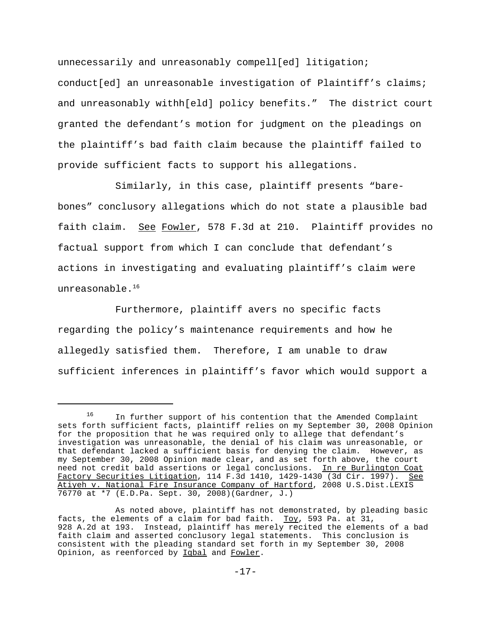unnecessarily and unreasonably compell[ed] litigation; conduct[ed] an unreasonable investigation of Plaintiff's claims; and unreasonably withh[eld] policy benefits." The district court granted the defendant's motion for judgment on the pleadings on the plaintiff's bad faith claim because the plaintiff failed to provide sufficient facts to support his allegations.

Similarly, in this case, plaintiff presents "barebones" conclusory allegations which do not state a plausible bad faith claim. See Fowler, 578 F.3d at 210. Plaintiff provides no factual support from which I can conclude that defendant's actions in investigating and evaluating plaintiff's claim were unreasonable. $16$ 

Furthermore, plaintiff avers no specific facts regarding the policy's maintenance requirements and how he allegedly satisfied them. Therefore, I am unable to draw sufficient inferences in plaintiff's favor which would support a

<sup>&</sup>lt;sup>16</sup> In further support of his contention that the Amended Complaint sets forth sufficient facts, plaintiff relies on my September 30, 2008 Opinion for the proposition that he was required only to allege that defendant's investigation was unreasonable, the denial of his claim was unreasonable, or that defendant lacked a sufficient basis for denying the claim. However, as my September 30, 2008 Opinion made clear, and as set forth above, the court need not credit bald assertions or legal conclusions. In re Burlington Coat Factory Securities Litigation, 114 F.3d 1410, 1429-1430 (3d Cir. 1997). See Atiyeh v. National Fire Insurance Company of Hartford, 2008 U.S.Dist.LEXIS 76770 at \*7 (E.D.Pa. Sept. 30, 2008)(Gardner, J.)

As noted above, plaintiff has not demonstrated, by pleading basic facts, the elements of a claim for bad faith.  $\underline{TOY}$ , 593 Pa. at 31, 928 A.2d at 193. Instead, plaintiff has merely recited the elements of a bad faith claim and asserted conclusory legal statements. This conclusion is consistent with the pleading standard set forth in my September 30, 2008 Opinion, as reenforced by Iqbal and Fowler.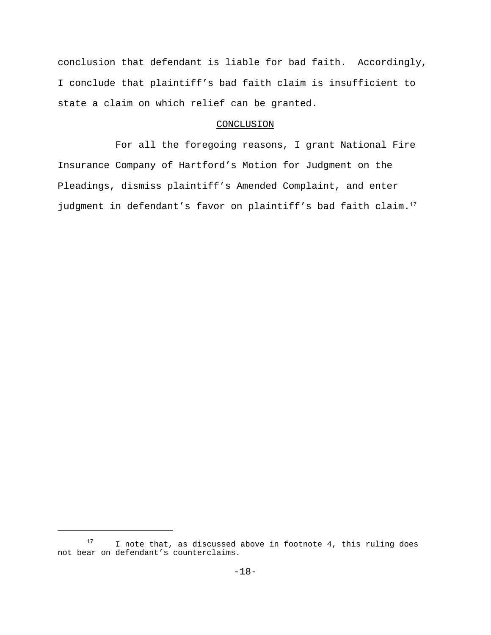conclusion that defendant is liable for bad faith. Accordingly, I conclude that plaintiff's bad faith claim is insufficient to state a claim on which relief can be granted.

## CONCLUSION

For all the foregoing reasons, I grant National Fire Insurance Company of Hartford's Motion for Judgment on the Pleadings, dismiss plaintiff's Amended Complaint, and enter judgment in defendant's favor on plaintiff's bad faith claim.<sup>17</sup>

<sup>&</sup>lt;sup>17</sup> I note that, as discussed above in footnote 4, this ruling does not bear on defendant's counterclaims.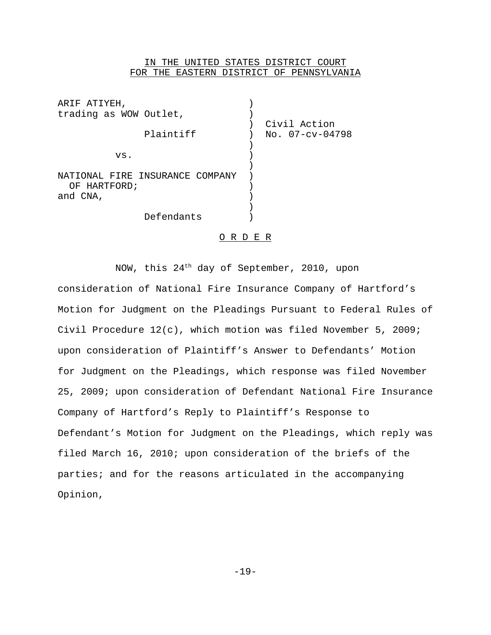## IN THE UNITED STATES DISTRICT COURT FOR THE EASTERN DISTRICT OF PENNSYLVANIA

| ARIF ATIYEH,                                                |                                 |
|-------------------------------------------------------------|---------------------------------|
| trading as WOW Outlet,                                      |                                 |
| Plaintiff                                                   | Civil Action<br>No. 07-cv-04798 |
| VS.                                                         |                                 |
| NATIONAL FIRE INSURANCE COMPANY<br>OF HARTFORD;<br>and CNA, |                                 |
| Defendants                                                  |                                 |

## O R D E R

NOW, this 24<sup>th</sup> day of September, 2010, upon consideration of National Fire Insurance Company of Hartford's Motion for Judgment on the Pleadings Pursuant to Federal Rules of Civil Procedure 12(c), which motion was filed November 5, 2009; upon consideration of Plaintiff's Answer to Defendants' Motion for Judgment on the Pleadings, which response was filed November 25, 2009; upon consideration of Defendant National Fire Insurance Company of Hartford's Reply to Plaintiff's Response to Defendant's Motion for Judgment on the Pleadings, which reply was filed March 16, 2010; upon consideration of the briefs of the parties; and for the reasons articulated in the accompanying Opinion,

-19-